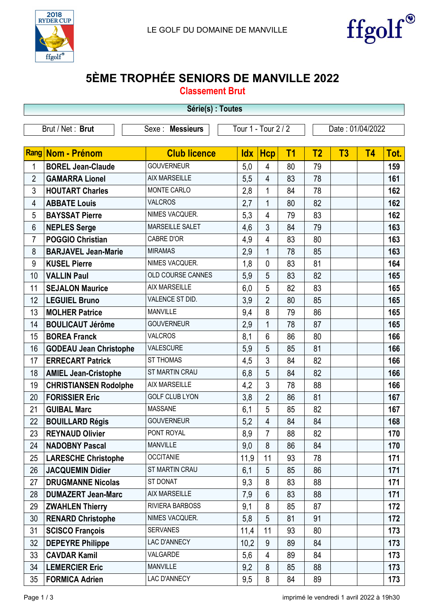



## 5ÈME TROPHÉE SENIORS DE MANVILLE 2022

Classement Brut

| Série(s) : Toutes                             |                               |                       |            |                |                                         |                |    |                |      |
|-----------------------------------------------|-------------------------------|-----------------------|------------|----------------|-----------------------------------------|----------------|----|----------------|------|
| Brut / Net: Brut<br>Sexe:<br><b>Messieurs</b> |                               |                       |            |                | Tour 1 - Tour 2 / 2<br>Date: 01/04/2022 |                |    |                |      |
|                                               |                               |                       |            |                |                                         |                |    |                |      |
|                                               | Rang Nom - Prénom             | <b>Club licence</b>   | <b>Idx</b> | <b>Hcp</b>     | T <sub>1</sub>                          | T <sub>2</sub> | T3 | T <sub>4</sub> | Tot. |
| 1                                             | <b>BOREL Jean-Claude</b>      | <b>GOUVERNEUR</b>     | 5,0        | 4              | 80                                      | 79             |    |                | 159  |
| $\overline{2}$                                | <b>GAMARRA Lionel</b>         | <b>AIX MARSEILLE</b>  | 5,5        | $\overline{4}$ | 83                                      | 78             |    |                | 161  |
| 3                                             | <b>HOUTART Charles</b>        | MONTE CARLO           | 2,8        | 1              | 84                                      | 78             |    |                | 162  |
| 4                                             | <b>ABBATE Louis</b>           | <b>VALCROS</b>        | 2,7        | 1              | 80                                      | 82             |    |                | 162  |
| 5                                             | <b>BAYSSAT Pierre</b>         | NIMES VACQUER.        | 5,3        | 4              | 79                                      | 83             |    |                | 162  |
| 6                                             | <b>NEPLES Serge</b>           | MARSEILLE SALET       | 4,6        | 3              | 84                                      | 79             |    |                | 163  |
| $\overline{7}$                                | <b>POGGIO Christian</b>       | CABRE D'OR            | 4,9        | 4              | 83                                      | 80             |    |                | 163  |
| 8                                             | <b>BARJAVEL Jean-Marie</b>    | <b>MIRAMAS</b>        | 2,9        | 1              | 78                                      | 85             |    |                | 163  |
| 9                                             | <b>KUSEL Pierre</b>           | NIMES VACQUER.        | 1,8        | $\mathbf 0$    | 83                                      | 81             |    |                | 164  |
| 10                                            | <b>VALLIN Paul</b>            | OLD COURSE CANNES     | 5,9        | 5              | 83                                      | 82             |    |                | 165  |
| 11                                            | <b>SEJALON Maurice</b>        | <b>AIX MARSEILLE</b>  | 6,0        | 5              | 82                                      | 83             |    |                | 165  |
| 12                                            | <b>LEGUIEL Bruno</b>          | VALENCE ST DID.       | 3,9        | $\overline{2}$ | 80                                      | 85             |    |                | 165  |
| 13                                            | <b>MOLHER Patrice</b>         | <b>MANVILLE</b>       | 9,4        | 8              | 79                                      | 86             |    |                | 165  |
| 14                                            | <b>BOULICAUT Jérôme</b>       | <b>GOUVERNEUR</b>     | 2,9        | 1              | 78                                      | 87             |    |                | 165  |
| 15                                            | <b>BOREA Franck</b>           | <b>VALCROS</b>        | 8,1        | 6              | 86                                      | 80             |    |                | 166  |
| 16                                            | <b>GODEAU Jean Christophe</b> | VALESCURE             | 5,9        | 5              | 85                                      | 81             |    |                | 166  |
| 17                                            | <b>ERRECART Patrick</b>       | <b>ST THOMAS</b>      | 4,5        | 3              | 84                                      | 82             |    |                | 166  |
| 18                                            | <b>AMIEL Jean-Cristophe</b>   | ST MARTIN CRAU        | 6,8        | 5              | 84                                      | 82             |    |                | 166  |
| 19                                            | <b>CHRISTIANSEN Rodolphe</b>  | AIX MARSEILLE         | 4,2        | 3              | 78                                      | 88             |    |                | 166  |
| 20                                            | <b>FORISSIER Eric</b>         | <b>GOLF CLUB LYON</b> | 3,8        | $\overline{2}$ | 86                                      | 81             |    |                | 167  |
| 21                                            | <b>GUIBAL Marc</b>            | <b>MASSANE</b>        | 6,1        | 5              | 85                                      | 82             |    |                | 167  |
| 22                                            | <b>BOUILLARD Régis</b>        | <b>GOUVERNEUR</b>     | 5,2        | 4              | 84                                      | 84             |    |                | 168  |
| 23                                            | <b>REYNAUD Olivier</b>        | PONT ROYAL            | 8,9        | $\overline{7}$ | 88                                      | 82             |    |                | 170  |
| 24                                            | <b>NADOBNY Pascal</b>         | <b>MANVILLE</b>       | 9,0        | 8              | 86                                      | 84             |    |                | 170  |
| 25                                            | <b>LARESCHE Christophe</b>    | <b>OCCITANIE</b>      | 11,9       | 11             | 93                                      | 78             |    |                | 171  |
| 26                                            | <b>JACQUEMIN Didier</b>       | ST MARTIN CRAU        | 6,1        | 5              | 85                                      | 86             |    |                | 171  |
| 27                                            | <b>DRUGMANNE Nicolas</b>      | ST DONAT              | 9,3        | 8              | 83                                      | 88             |    |                | 171  |
| 28                                            | <b>DUMAZERT Jean-Marc</b>     | AIX MARSEILLE         | 7,9        | 6              | 83                                      | 88             |    |                | 171  |
| 29                                            | <b>ZWAHLEN Thierry</b>        | RIVIERA BARBOSS       | 9,1        | 8              | 85                                      | 87             |    |                | 172  |
| 30                                            | <b>RENARD Christophe</b>      | NIMES VACQUER.        | 5,8        | 5              | 81                                      | 91             |    |                | 172  |
| 31                                            | <b>SCISCO François</b>        | <b>SERVANES</b>       | 11,4       | 11             | 93                                      | 80             |    |                | 173  |
| 32                                            | <b>DEPEYRE Philippe</b>       | LAC D'ANNECY          | 10,2       | 9              | 89                                      | 84             |    |                | 173  |
| 33                                            | <b>CAVDAR Kamil</b>           | VALGARDE              | 5,6        | 4              | 89                                      | 84             |    |                | 173  |
| 34                                            | <b>LEMERCIER Eric</b>         | <b>MANVILLE</b>       | 9,2        | 8              | 85                                      | 88             |    |                | 173  |
| 35                                            | <b>FORMICA Adrien</b>         | LAC D'ANNECY          | 9,5        | 8              | 84                                      | 89             |    |                | 173  |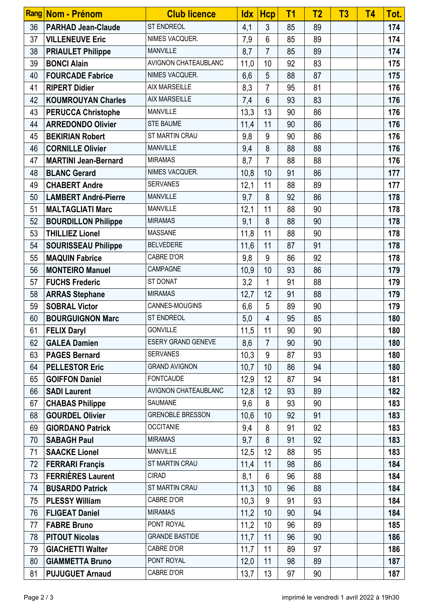|    | Rang Nom - Prénom           | <b>Club licence</b>     | ldx  | <b>Hcp</b>     | T <sub>1</sub>  | T <sub>2</sub> | T <sub>3</sub> | <b>T4</b> | Tot. |
|----|-----------------------------|-------------------------|------|----------------|-----------------|----------------|----------------|-----------|------|
| 36 | <b>PARHAD Jean-Claude</b>   | ST ENDREOL              | 4,1  | 3              | 85              | 89             |                |           | 174  |
| 37 | <b>VILLENEUVE Eric</b>      | NIMES VACQUER.          | 7,9  | 6              | 85              | 89             |                |           | 174  |
| 38 | <b>PRIAULET Philippe</b>    | <b>MANVILLE</b>         | 8,7  | 7              | 85              | 89             |                |           | 174  |
| 39 | <b>BONCI Alain</b>          | AVIGNON CHATEAUBLANC    | 11,0 | 10             | 92              | 83             |                |           | 175  |
| 40 | <b>FOURCADE Fabrice</b>     | NIMES VACQUER.          | 6,6  | 5              | 88              | 87             |                |           | 175  |
| 41 | <b>RIPERT Didier</b>        | <b>AIX MARSEILLE</b>    | 8,3  | $\overline{7}$ | 95              | 81             |                |           | 176  |
| 42 | <b>KOUMROUYAN Charles</b>   | <b>AIX MARSEILLE</b>    | 7,4  | $6\phantom{1}$ | 93              | 83             |                |           | 176  |
| 43 | <b>PERUCCA Christophe</b>   | <b>MANVILLE</b>         | 13,3 | 13             | 90              | 86             |                |           | 176  |
| 44 | <b>ARREDONDO Olivier</b>    | <b>STE BAUME</b>        | 11,4 | 11             | 90              | 86             |                |           | 176  |
| 45 | <b>BEKIRIAN Robert</b>      | ST MARTIN CRAU          | 9,8  | 9              | 90              | 86             |                |           | 176  |
| 46 | <b>CORNILLE Olivier</b>     | <b>MANVILLE</b>         | 9,4  | 8              | 88              | 88             |                |           | 176  |
| 47 | <b>MARTINI Jean-Bernard</b> | <b>MIRAMAS</b>          | 8,7  | $\overline{7}$ | 88              | 88             |                |           | 176  |
| 48 | <b>BLANC Gerard</b>         | NIMES VACQUER.          | 10,8 | 10             | 91              | 86             |                |           | 177  |
| 49 | <b>CHABERT Andre</b>        | <b>SERVANES</b>         | 12,1 | 11             | 88              | 89             |                |           | 177  |
| 50 | <b>LAMBERT André-Pierre</b> | <b>MANVILLE</b>         | 9,7  | 8              | 92              | 86             |                |           | 178  |
| 51 | <b>MALTAGLIATI Marc</b>     | <b>MANVILLE</b>         | 12,1 | 11             | 88              | 90             |                |           | 178  |
| 52 | <b>BOURDILLON Philippe</b>  | <b>MIRAMAS</b>          | 9,1  | 8              | 88              | 90             |                |           | 178  |
| 53 | <b>THILLIEZ Lionel</b>      | <b>MASSANE</b>          | 11,8 | 11             | 88              | 90             |                |           | 178  |
| 54 | <b>SOURISSEAU Philippe</b>  | <b>BELVEDERE</b>        | 11,6 | 11             | 87              | 91             |                |           | 178  |
| 55 | <b>MAQUIN Fabrice</b>       | CABRE D'OR              | 9,8  | 9              | 86              | 92             |                |           | 178  |
| 56 | <b>MONTEIRO Manuel</b>      | CAMPAGNE                | 10,9 | 10             | 93              | 86             |                |           | 179  |
| 57 | <b>FUCHS Frederic</b>       | ST DONAT                | 3,2  | 1              | 91              | 88             |                |           | 179  |
| 58 | <b>ARRAS Stephane</b>       | <b>MIRAMAS</b>          | 12,7 | 12             | 91              | 88             |                |           | 179  |
| 59 | <b>SOBRAL Victor</b>        | CANNES-MOUGINS          | 6,6  | 5              | 89              | 90             |                |           | 179  |
| 60 | <b>BOURGUIGNON Marc</b>     | <b>ST ENDREOL</b>       | 5,0  | $\overline{4}$ | 95              | 85             |                |           | 180  |
| 61 | <b>FELIX Daryl</b>          | <b>GONVILLE</b>         | 11,5 | 11             | 90 <sub>o</sub> | 90             |                |           | 180  |
| 62 | <b>GALEA Damien</b>         | ESERY GRAND GENEVE      | 8,6  | $\overline{7}$ | 90              | 90             |                |           | 180  |
| 63 | <b>PAGES Bernard</b>        | <b>SERVANES</b>         | 10,3 | 9              | 87              | 93             |                |           | 180  |
| 64 | <b>PELLESTOR Eric</b>       | <b>GRAND AVIGNON</b>    | 10,7 | 10             | 86              | 94             |                |           | 180  |
| 65 | <b>GOIFFON Daniel</b>       | <b>FONTCAUDE</b>        | 12,9 | 12             | 87              | 94             |                |           | 181  |
| 66 | <b>SADI Laurent</b>         | AVIGNON CHATEAUBLANC    | 12,8 | 12             | 93              | 89             |                |           | 182  |
| 67 | <b>CHABAS Philippe</b>      | <b>SAUMANE</b>          | 9,6  | 8              | 93              | 90             |                |           | 183  |
| 68 | <b>GOURDEL Olivier</b>      | <b>GRENOBLE BRESSON</b> | 10,6 | 10             | 92              | 91             |                |           | 183  |
| 69 | <b>GIORDANO Patrick</b>     | <b>OCCITANIE</b>        | 9,4  | 8              | 91              | 92             |                |           | 183  |
| 70 | <b>SABAGH Paul</b>          | <b>MIRAMAS</b>          | 9,7  | 8              | 91              | 92             |                |           | 183  |
| 71 | <b>SAACKE Lionel</b>        | <b>MANVILLE</b>         | 12,5 | 12             | 88              | 95             |                |           | 183  |
| 72 | <b>FERRARI Françis</b>      | ST MARTIN CRAU          | 11,4 | 11             | 98              | 86             |                |           | 184  |
| 73 | <b>FERRIÈRES Laurent</b>    | <b>CIRAD</b>            | 8,1  | 6              | 96              | 88             |                |           | 184  |
| 74 | <b>BUSARDO Patrick</b>      | ST MARTIN CRAU          | 11,3 | 10             | 96              | 88             |                |           | 184  |
| 75 | <b>PLESSY William</b>       | CABRE D'OR              | 10,3 | 9              | 91              | 93             |                |           | 184  |
| 76 | <b>FLIGEAT Daniel</b>       | <b>MIRAMAS</b>          | 11,2 | 10             | 90              | 94             |                |           | 184  |
| 77 | <b>FABRE Bruno</b>          | PONT ROYAL              | 11,2 | 10             | 96              | 89             |                |           | 185  |
| 78 | <b>PITOUT Nicolas</b>       | <b>GRANDE BASTIDE</b>   | 11,7 | 11             | 96              | 90             |                |           | 186  |
| 79 | <b>GIACHETTI Walter</b>     | CABRE D'OR              | 11,7 | 11             | 89              | 97             |                |           | 186  |
| 80 | <b>GIAMMETTA Bruno</b>      | PONT ROYAL              | 12,0 | 11             | 98              | 89             |                |           | 187  |
| 81 | <b>PUJUGUET Arnaud</b>      | CABRE D'OR              | 13,7 | 13             | 97              | 90             |                |           | 187  |